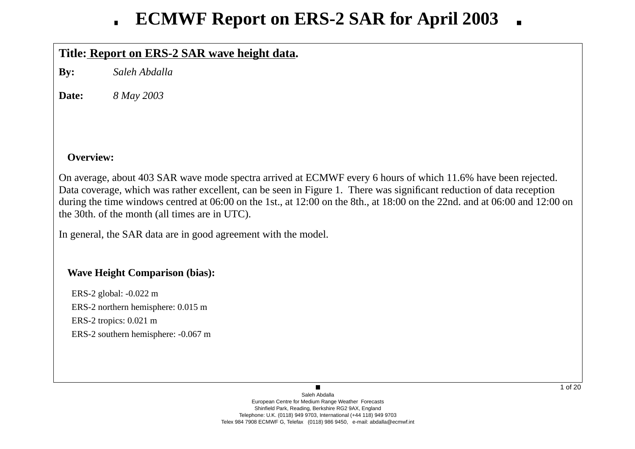# **Title: Report on ERS-2 SAR wa ve height data.**

**By:** *Saleh Abdalla*

**Date:***8 May 2003*

## **Overview:**

On average, about 403 SAR wave mode spectra arrived at ECMWF every 6 hours of which 11.6% have been rejected. Data co verage, which was rather excellent, can be seen in Figure 1. There was significant reduction of data reception during the time windows centred at 06:00 on the 1st., at 12:00 on the 8th., at 18:00 on the 22nd. and at 06:00 and 12:00 on the 30th. of the month (all times are in UTC).

In general, the SAR data are in good agreement with the model.

## **Wa ve Height Comparison (bias):**

ERS-2 global: -0.022 m ERS-2 northern hemisphere: 0.015 m ERS-2 tropics: 0.021 m ERS-2 southern hemisphere: -0.067 m

> Saleh AbdallaEuropean Centre for Medium Range Weather Forecasts Shinfield Park, Reading, Berkshire RG2 9AX, England Telephone: U.K. (0118) 949 9703, International (+44 118) 949 9703 Telex 984 7908 ECMWF G, Telefax (0118) 986 9450, e-mail: abdalla@ecmwf.int

 $\blacksquare$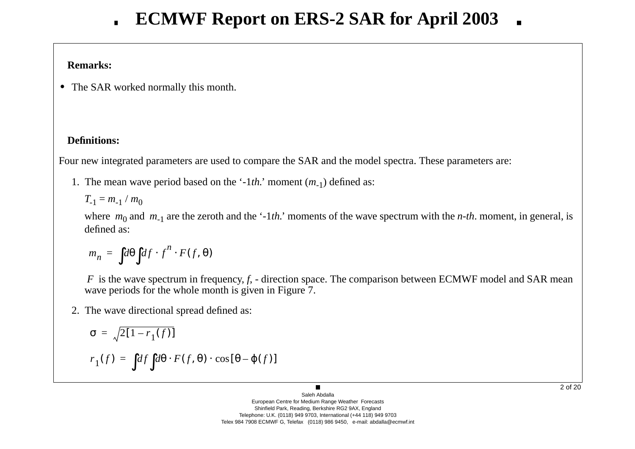## **Remarks:**

**•** The SAR worked normally this month.

# **Definitions:**

Four new integrated parameters are used to compare the SAR and the model spectra. These parameters are:

1. The mean w a ve period based on the '-1*th.*' moment ( *<sup>m</sup>*-1) defined as:

 $T_{-1} = m_{-1} / m_0$ 

where  $m_0$  and  $m_{-1}$  are the zeroth and the '-1*th*.' moments of the wave spectrum with the *n-th*. moment, in general, is defined as:

$$
m_n = \int d\theta \int df \cdot f^n \cdot F(f, \theta)
$$

*F* is the wave spectrum in frequency, *f*, - direction space. The comparison between ECMWF model and SAR mean wave periods for the whole month is given in Figure 7.

2. The w a ve directional spread defined as:

$$
\sigma = \sqrt{2[1 - r_1(f)]}
$$

$$
r_1(f) = \int df \int d\theta \cdot F(f, \theta) \cdot \cos[\theta - \varphi(f)]
$$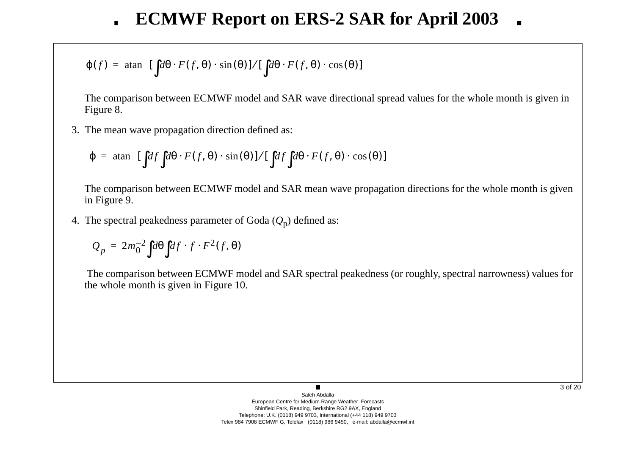$$
\varphi(f) = \operatorname{atan} \bigg\{ [\int d\theta \cdot F(f, \theta) \cdot \sin(\theta)] / [\int d\theta \cdot F(f, \theta) \cdot \cos(\theta)] \bigg\}
$$

The comparison between ECMWF model and SAR wave directional spread values for the whole month is given in Figure 8.

3. The mean w a ve propagation direction defined as:

$$
\varphi = \operatorname{atan} \left\{ [\int df \int d\theta \cdot F(f, \theta) \cdot \sin(\theta)] / [\int df \int d\theta \cdot F(f, \theta) \cdot \cos(\theta)] \right\}
$$

The comparison between ECMWF model and SAR mean wave propagation directions for the whole month is given in Figure 9.

4. The spectral peakedness parameter of Goda ( *Q* <sup>p</sup>) defined as:

$$
Q_p = 2m_0^{-2} \int d\theta \int df \cdot f \cdot F^2(f, \theta)
$$

The comparison between ECMWF model and SAR spectral peakedness (or roughly, spectral narrowness) values for the whole month is gi ven in Figure 10.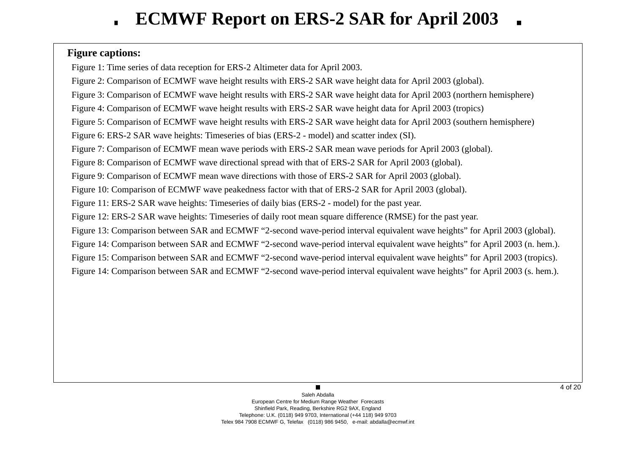## **Figure captions:**

Figure 1: Time series of data reception for ERS-2 Altimeter data for April 2003.

Figure 2: Comparison of ECMWF wave height results with ERS-2 SAR wave height data for April 2003 (global).

Figure 3: Comparison of ECMWF wave height results with ERS-2 SAR wave height data for April 2003 (northern hemisphere)

Figure 4: Comparison of ECMWF wave height results with ERS-2 SAR wave height data for April 2003 (tropics)

Figure 5: Comparison of ECMWF wave height results with ERS-2 SAR wave height data for April 2003 (southern hemisphere)

Figure 6: ERS-2 SAR wave heights: Timeseries of bias (ERS-2 - model) and scatter index (SI).

Figure 7: Comparison of ECMWF mean wave periods with ERS-2 SAR mean wave periods for April 2003 (global).

Figure 8: Comparison of ECMWF wave directional spread with that of ERS-2 SAR for April 2003 (global).

Figure 9: Comparison of ECMWF mean wave directions with those of ERS-2 SAR for April 2003 (global).

Figure 10: Comparison of ECMWF wave peakedness factor with that of ERS-2 SAR for April 2003 (global).

Figure 11: ERS-2 SAR wave heights: Timeseries of daily bias (ERS-2 - model) for the past year.

Figure 12: ERS-2 SAR wave heights: Timeseries of daily root mean square difference (RMSE) for the past year.

Figure 13: Comparison between SAR and ECMWF "2-second wave-period interval equivalent wave heights" for April 2003 (global).

Figure 14: Comparison between SAR and ECMWF "2-second wave-period interval equivalent wave heights" for April 2003 (n. hem.).

Figure 15: Comparison between SAR and ECMWF "2-second wave-period interval equivalent wave heights" for April 2003 (tropics).

Figure 14: Comparison between SAR and ECMWF "2-second wave-period interval equivalent wave heights" for April 2003 (s. hem.).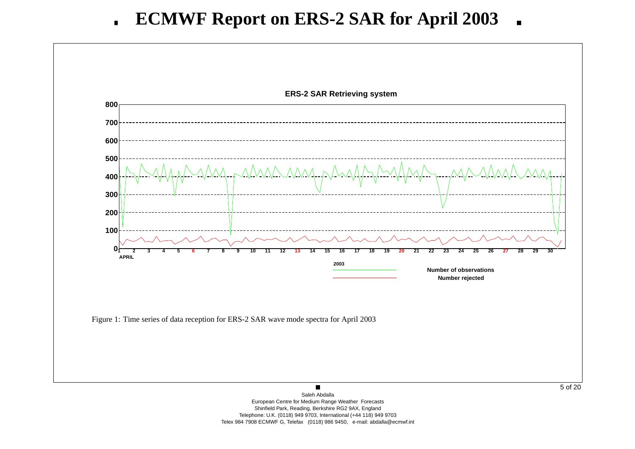

Shinfield Park, Reading, Berkshire RG2 9AX, England Telephone: U.K. (0118) 949 9703, International (+44 118) 949 9703

Telex 984 7908 ECMWF G, Telefax (0118) 986 9450, e-mail: abdalla@ecmwf.int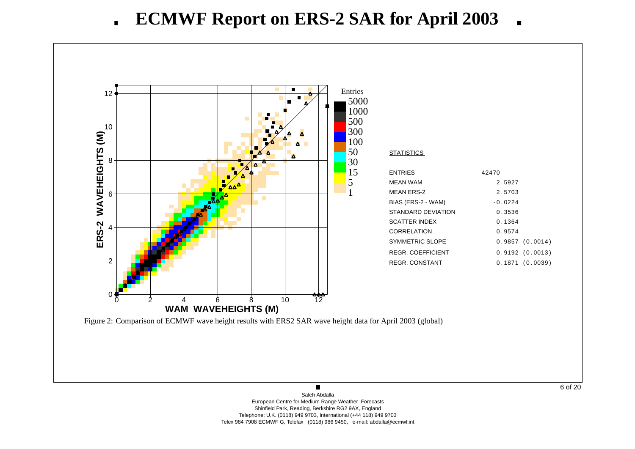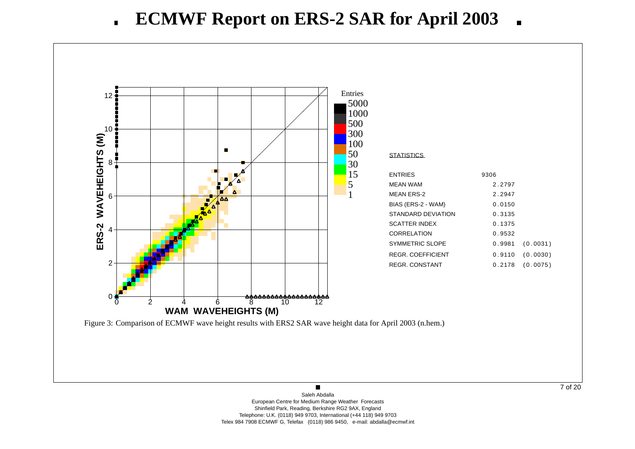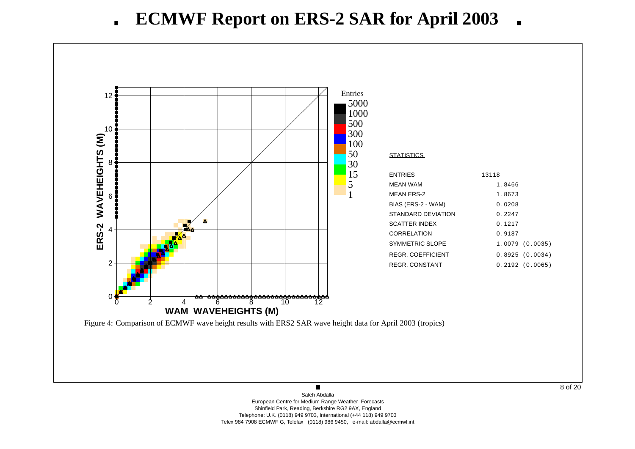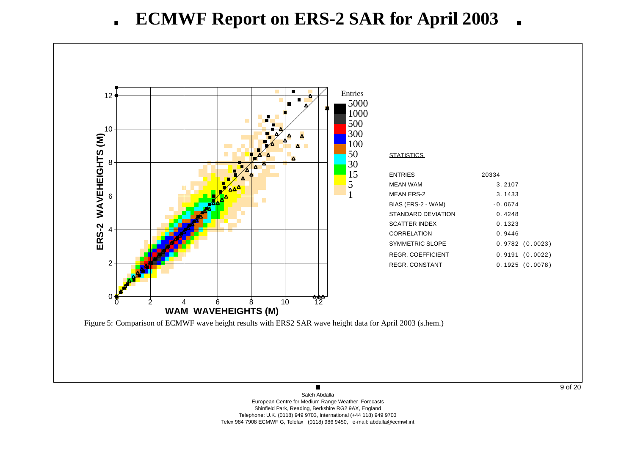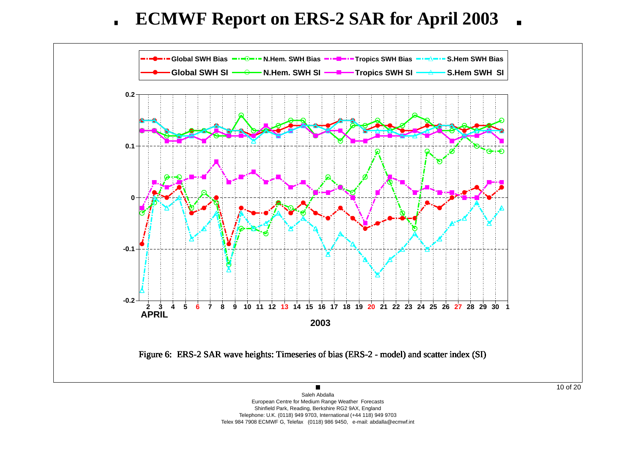**ECMWF Report on ERS-2 SAR for April 2003**  $\blacksquare$ 



Shinfield Park, Reading, Berkshire RG2 9AX, England Telephone: U.K. (0118) 949 9703, International (+44 118) 949 9703 Telex 984 7908 ECMWF G, Telefax (0118) 986 9450, e-mail: abdalla@ecmwf.int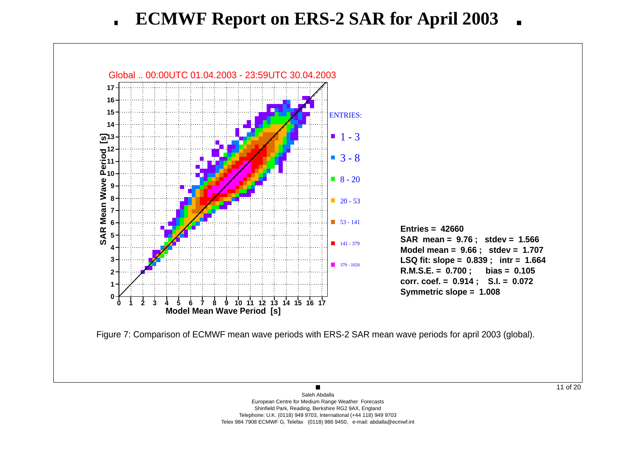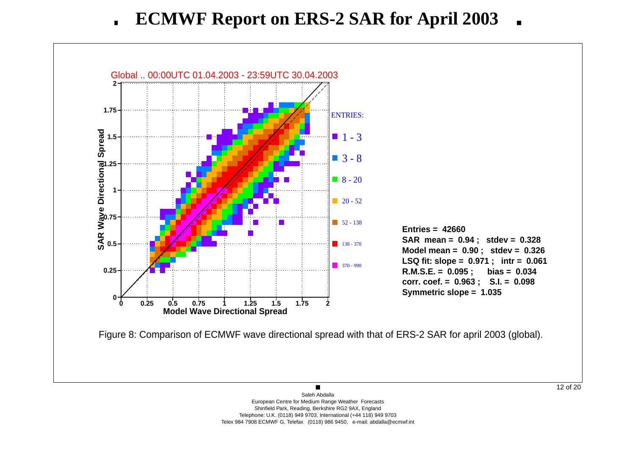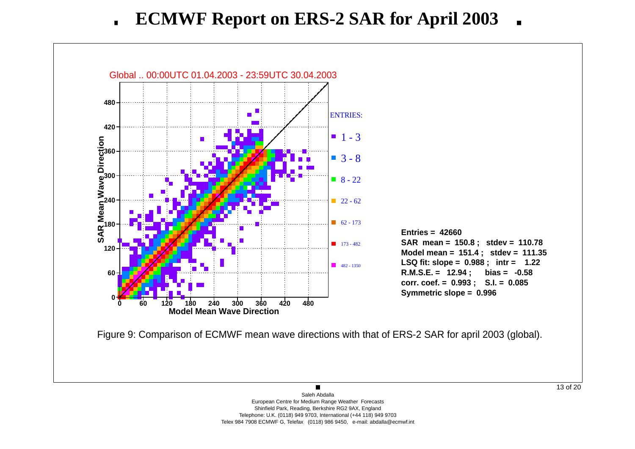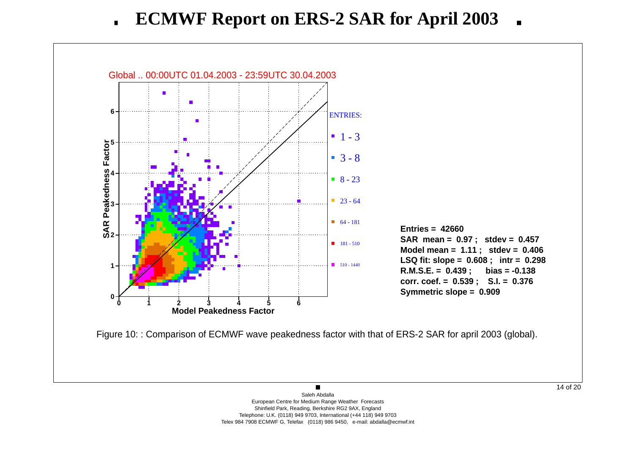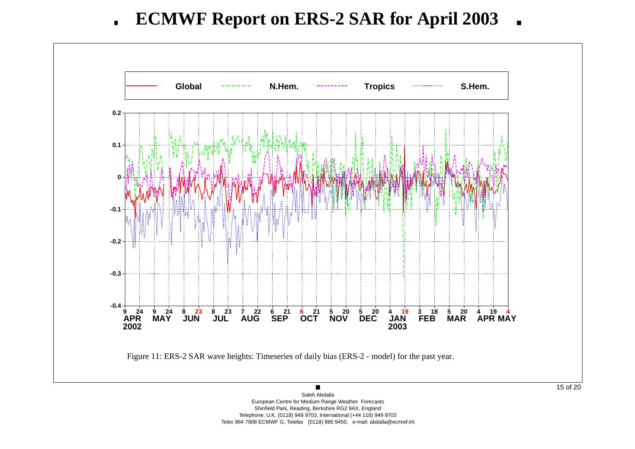

European Centre for Medium Range Weather Forecasts Shinfield Park, Reading, Berkshire RG2 9AX, England Telephone: U.K. (0118) 949 9703, International (+44 118) 949 9703 Telex 984 7908 ECMWF G, Telefax (0118) 986 9450, e-mail: abdalla@ecmwf.int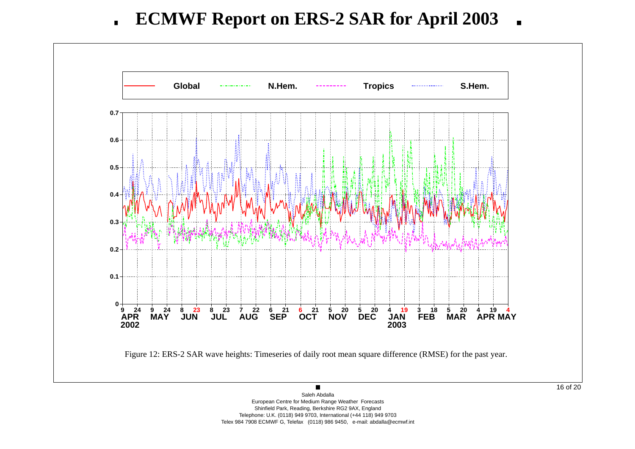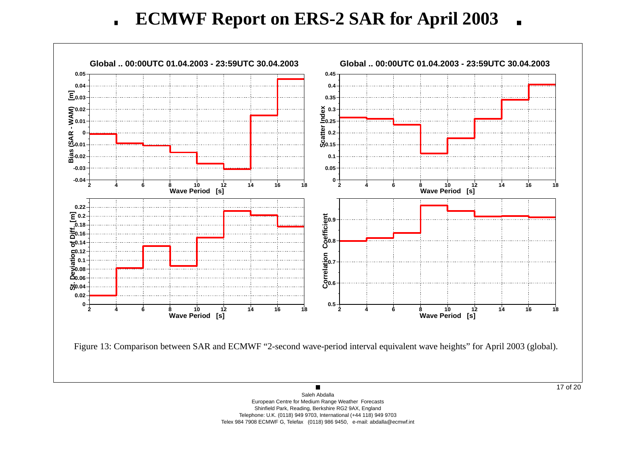**ECMWF Report on ERS-2 SAR for April 2003**  $\blacksquare$ 

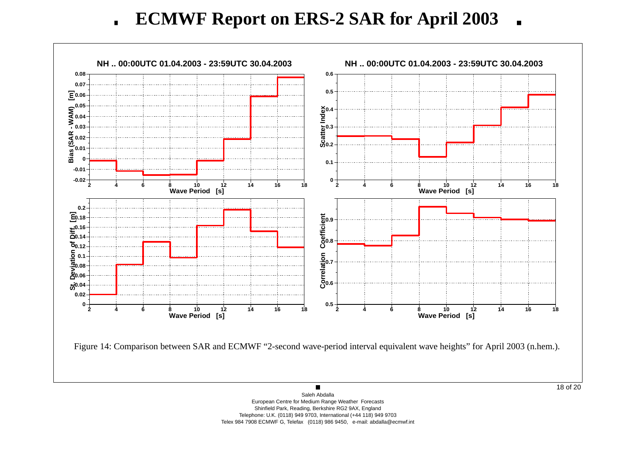**ECMWF Report on ERS-2 SAR for April 2003**  $\blacksquare$ 

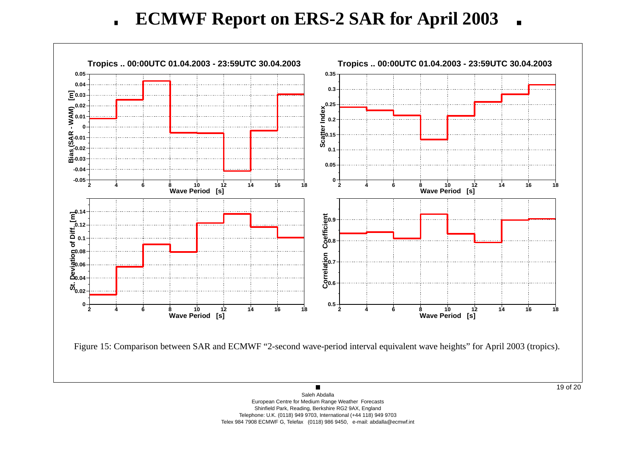